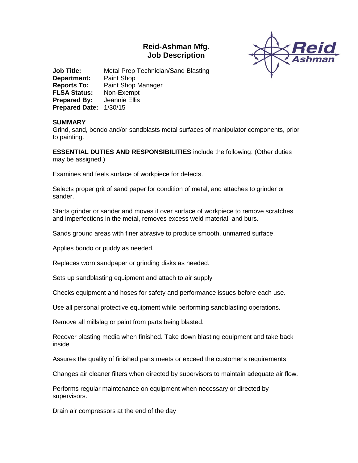# **Reid-Ashman Mfg. Job Description**



**Job Title:** Metal Prep Technician/Sand Blasting **Department:** Paint Shop **Reports To:** Paint Shop Manager **FLSA Status:** Non-Exempt **Prepared By:** Jeannie Ellis **Prepared Date:** 1/30/15

#### **SUMMARY**

Grind, sand, bondo and/or sandblasts metal surfaces of manipulator components, prior to painting.

**ESSENTIAL DUTIES AND RESPONSIBILITIES** include the following: (Other duties may be assigned.)

Examines and feels surface of workpiece for defects.

Selects proper grit of sand paper for condition of metal, and attaches to grinder or sander.

Starts grinder or sander and moves it over surface of workpiece to remove scratches and imperfections in the metal, removes excess weld material, and burs.

Sands ground areas with finer abrasive to produce smooth, unmarred surface.

Applies bondo or puddy as needed.

Replaces worn sandpaper or grinding disks as needed.

Sets up sandblasting equipment and attach to air supply

Checks equipment and hoses for safety and performance issues before each use.

Use all personal protective equipment while performing sandblasting operations.

Remove all millslag or paint from parts being blasted.

Recover blasting media when finished. Take down blasting equipment and take back inside

Assures the quality of finished parts meets or exceed the customer's requirements.

Changes air cleaner filters when directed by supervisors to maintain adequate air flow.

Performs regular maintenance on equipment when necessary or directed by supervisors.

Drain air compressors at the end of the day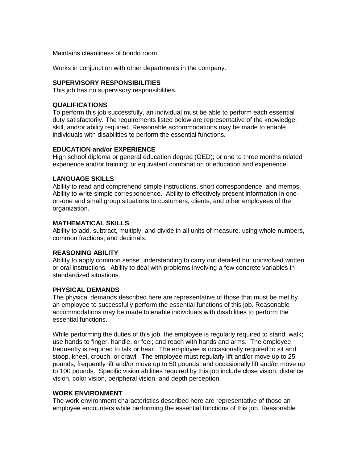Maintains cleanliness of bondo room.

Works in conjunction with other departments in the company.

## **SUPERVISORY RESPONSIBILITIES**

This job has no supervisory responsibilities.

## **QUALIFICATIONS**

To perform this job successfully, an individual must be able to perform each essential duty satisfactorily. The requirements listed below are representative of the knowledge, skill, and/or ability required. Reasonable accommodations may be made to enable individuals with disabilities to perform the essential functions.

#### **EDUCATION and/or EXPERIENCE**

High school diploma or general education degree (GED); or one to three months related experience and/or training; or equivalent combination of education and experience.

## **LANGUAGE SKILLS**

Ability to read and comprehend simple instructions, short correspondence, and memos. Ability to write simple correspondence. Ability to effectively present information in oneon-one and small group situations to customers, clients, and other employees of the organization.

#### **MATHEMATICAL SKILLS**

Ability to add, subtract, multiply, and divide in all units of measure, using whole numbers, common fractions, and decimals.

# **REASONING ABILITY**

Ability to apply common sense understanding to carry out detailed but uninvolved written or oral instructions. Ability to deal with problems involving a few concrete variables in standardized situations.

#### **PHYSICAL DEMANDS**

The physical demands described here are representative of those that must be met by an employee to successfully perform the essential functions of this job. Reasonable accommodations may be made to enable individuals with disabilities to perform the essential functions.

While performing the duties of this job, the employee is regularly required to stand; walk; use hands to finger, handle, or feel; and reach with hands and arms. The employee frequently is required to talk or hear. The employee is occasionally required to sit and stoop, kneel, crouch, or crawl. The employee must regularly lift and/or move up to 25 pounds, frequently lift and/or move up to 50 pounds, and occasionally lift and/or move up to 100 pounds. Specific vision abilities required by this job include close vision, distance vision, color vision, peripheral vision, and depth perception.

# **WORK ENVIRONMENT**

The work environment characteristics described here are representative of those an employee encounters while performing the essential functions of this job. Reasonable